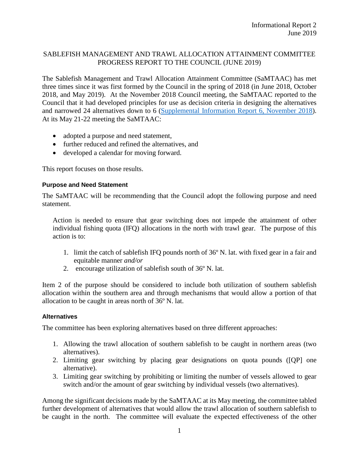## SABLEFISH MANAGEMENT AND TRAWL ALLOCATION ATTAINMENT COMMITTEE PROGRESS REPORT TO THE COUNCIL (JUNE 2019)

The Sablefish Management and Trawl Allocation Attainment Committee (SaMTAAC) has met three times since it was first formed by the Council in the spring of 2018 (in June 2018, October 2018, and May 2019). At the November 2018 Council meeting, the SaMTAAC reported to the Council that it had developed principles for use as decision criteria in designing the alternatives and narrowed 24 alternatives down to 6 [\(Supplemental Information Report 6, November 2018\)](https://www.pcouncil.org/wp-content/uploads/2018/10/Supp_IR6_SaMTAAC_Status_Report_NOV2018.pdf). At its May 21-22 meeting the SaMTAAC:

- adopted a purpose and need statement,
- further reduced and refined the alternatives, and
- developed a calendar for moving forward.

This report focuses on those results.

## **Purpose and Need Statement**

The SaMTAAC will be recommending that the Council adopt the following purpose and need statement.

Action is needed to ensure that gear switching does not impede the attainment of other individual fishing quota (IFQ) allocations in the north with trawl gear. The purpose of this action is to:

- 1. limit the catch of sablefish IFQ pounds north of 36º N. lat. with fixed gear in a fair and equitable manner *and/or*
- 2. encourage utilization of sablefish south of 36º N. lat.

Item 2 of the purpose should be considered to include both utilization of southern sablefish allocation within the southern area and through mechanisms that would allow a portion of that allocation to be caught in areas north of 36º N. lat.

## **Alternatives**

The committee has been exploring alternatives based on three different approaches:

- 1. Allowing the trawl allocation of southern sablefish to be caught in northern areas (two alternatives).
- 2. Limiting gear switching by placing gear designations on quota pounds ([QP] one alternative).
- 3. Limiting gear switching by prohibiting or limiting the number of vessels allowed to gear switch and/or the amount of gear switching by individual vessels (two alternatives).

Among the significant decisions made by the SaMTAAC at its May meeting, the committee tabled further development of alternatives that would allow the trawl allocation of southern sablefish to be caught in the north. The committee will evaluate the expected effectiveness of the other